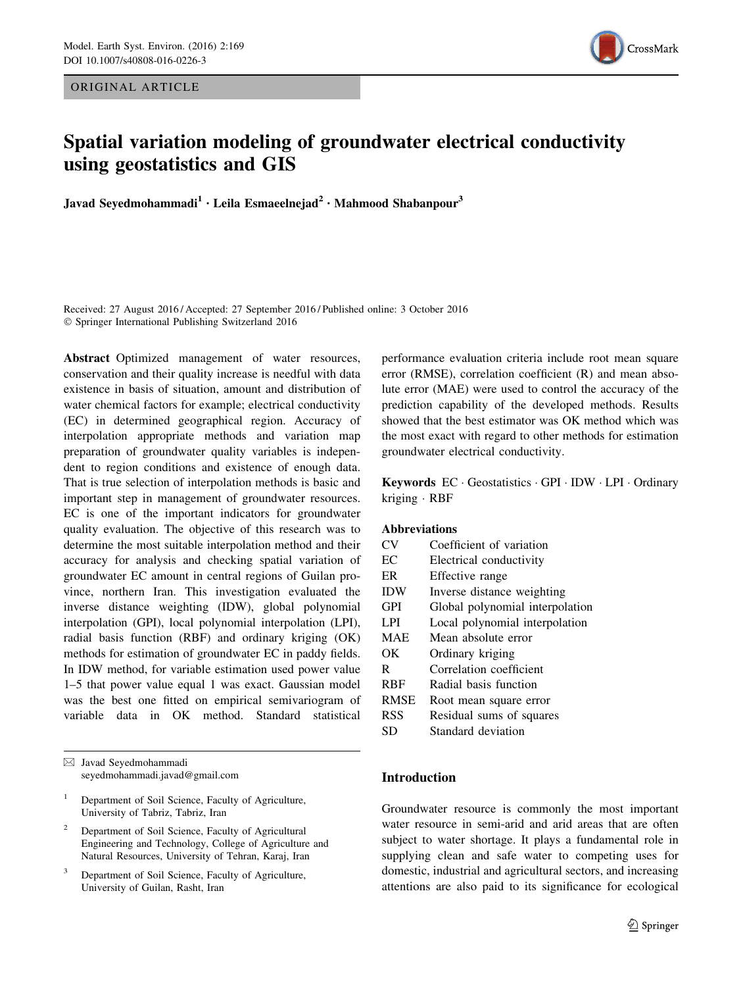ORIGINAL ARTICLE



# Spatial variation modeling of groundwater electrical conductivity using geostatistics and GIS

Javad Seyedmohammadi<sup>1</sup> · Leila Esmaeelnejad<sup>2</sup> · Mahmood Shabanpour<sup>3</sup>

Received: 27 August 2016 / Accepted: 27 September 2016 / Published online: 3 October 2016 - Springer International Publishing Switzerland 2016

Abstract Optimized management of water resources, conservation and their quality increase is needful with data existence in basis of situation, amount and distribution of water chemical factors for example; electrical conductivity (EC) in determined geographical region. Accuracy of interpolation appropriate methods and variation map preparation of groundwater quality variables is independent to region conditions and existence of enough data. That is true selection of interpolation methods is basic and important step in management of groundwater resources. EC is one of the important indicators for groundwater quality evaluation. The objective of this research was to determine the most suitable interpolation method and their accuracy for analysis and checking spatial variation of groundwater EC amount in central regions of Guilan province, northern Iran. This investigation evaluated the inverse distance weighting (IDW), global polynomial interpolation (GPI), local polynomial interpolation (LPI), radial basis function (RBF) and ordinary kriging (OK) methods for estimation of groundwater EC in paddy fields. In IDW method, for variable estimation used power value 1–5 that power value equal 1 was exact. Gaussian model was the best one fitted on empirical semivariogram of variable data in OK method. Standard statistical

- <sup>2</sup> Department of Soil Science, Faculty of Agricultural Engineering and Technology, College of Agriculture and Natural Resources, University of Tehran, Karaj, Iran
- Department of Soil Science, Faculty of Agriculture, University of Guilan, Rasht, Iran

performance evaluation criteria include root mean square error (RMSE), correlation coefficient (R) and mean absolute error (MAE) were used to control the accuracy of the prediction capability of the developed methods. Results showed that the best estimator was OK method which was the most exact with regard to other methods for estimation groundwater electrical conductivity.

Keywords EC · Geostatistics · GPI · IDW · LPI · Ordinary kriging - RBF

## Abbreviations

| CV          | Coefficient of variation        |
|-------------|---------------------------------|
| EC          | Electrical conductivity         |
| ER          | Effective range                 |
| <b>IDW</b>  | Inverse distance weighting      |
| <b>GPI</b>  | Global polynomial interpolation |
| L PI        | Local polynomial interpolation  |
| <b>MAE</b>  | Mean absolute error             |
| OК          | Ordinary kriging                |
| R           | Correlation coefficient         |
| <b>RBF</b>  | Radial basis function           |
| <b>RMSE</b> | Root mean square error          |
| <b>RSS</b>  | Residual sums of squares        |
| SD          | Standard deviation              |

## Introduction

Groundwater resource is commonly the most important water resource in semi-arid and arid areas that are often subject to water shortage. It plays a fundamental role in supplying clean and safe water to competing uses for domestic, industrial and agricultural sectors, and increasing attentions are also paid to its significance for ecological

<sup>&</sup>amp; Javad Seyedmohammadi seyedmohammadi.javad@gmail.com

<sup>&</sup>lt;sup>1</sup> Department of Soil Science, Faculty of Agriculture, University of Tabriz, Tabriz, Iran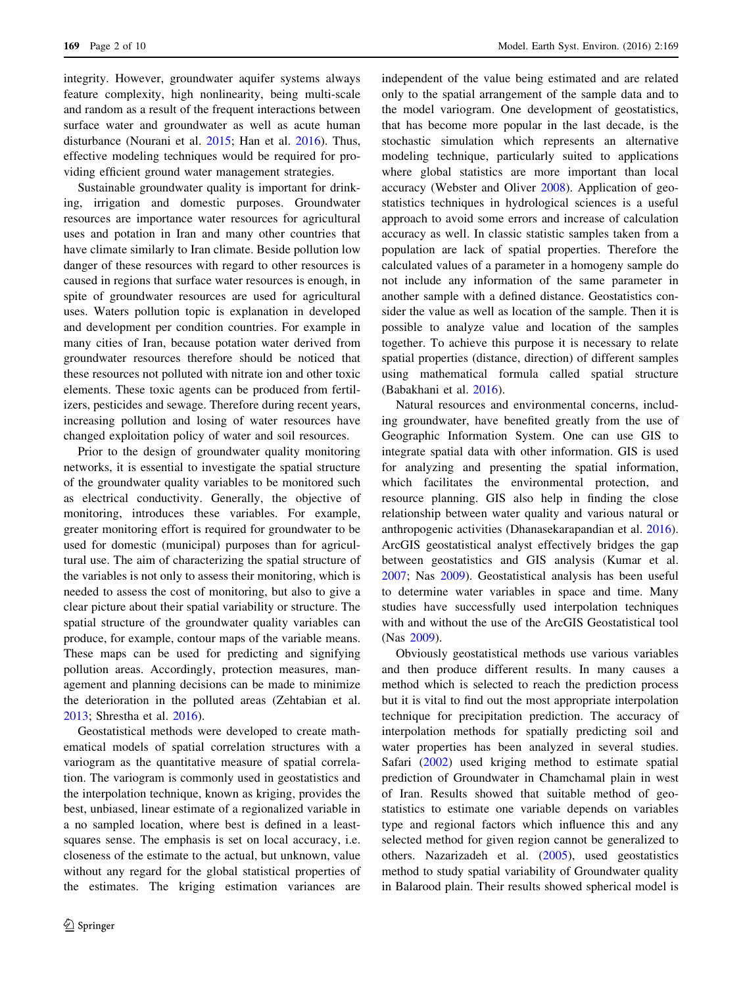integrity. However, groundwater aquifer systems always feature complexity, high nonlinearity, being multi-scale and random as a result of the frequent interactions between surface water and groundwater as well as acute human disturbance (Nourani et al. [2015](#page-8-0); Han et al. [2016](#page-8-0)). Thus, effective modeling techniques would be required for providing efficient ground water management strategies.

Sustainable groundwater quality is important for drinking, irrigation and domestic purposes. Groundwater resources are importance water resources for agricultural uses and potation in Iran and many other countries that have climate similarly to Iran climate. Beside pollution low danger of these resources with regard to other resources is caused in regions that surface water resources is enough, in spite of groundwater resources are used for agricultural uses. Waters pollution topic is explanation in developed and development per condition countries. For example in many cities of Iran, because potation water derived from groundwater resources therefore should be noticed that these resources not polluted with nitrate ion and other toxic elements. These toxic agents can be produced from fertilizers, pesticides and sewage. Therefore during recent years, increasing pollution and losing of water resources have changed exploitation policy of water and soil resources.

Prior to the design of groundwater quality monitoring networks, it is essential to investigate the spatial structure of the groundwater quality variables to be monitored such as electrical conductivity. Generally, the objective of monitoring, introduces these variables. For example, greater monitoring effort is required for groundwater to be used for domestic (municipal) purposes than for agricultural use. The aim of characterizing the spatial structure of the variables is not only to assess their monitoring, which is needed to assess the cost of monitoring, but also to give a clear picture about their spatial variability or structure. The spatial structure of the groundwater quality variables can produce, for example, contour maps of the variable means. These maps can be used for predicting and signifying pollution areas. Accordingly, protection measures, management and planning decisions can be made to minimize the deterioration in the polluted areas (Zehtabian et al. [2013;](#page-9-0) Shrestha et al. [2016\)](#page-9-0).

Geostatistical methods were developed to create mathematical models of spatial correlation structures with a variogram as the quantitative measure of spatial correlation. The variogram is commonly used in geostatistics and the interpolation technique, known as kriging, provides the best, unbiased, linear estimate of a regionalized variable in a no sampled location, where best is defined in a leastsquares sense. The emphasis is set on local accuracy, i.e. closeness of the estimate to the actual, but unknown, value without any regard for the global statistical properties of the estimates. The kriging estimation variances are independent of the value being estimated and are related only to the spatial arrangement of the sample data and to the model variogram. One development of geostatistics, that has become more popular in the last decade, is the stochastic simulation which represents an alternative modeling technique, particularly suited to applications where global statistics are more important than local accuracy (Webster and Oliver [2008\)](#page-9-0). Application of geostatistics techniques in hydrological sciences is a useful approach to avoid some errors and increase of calculation accuracy as well. In classic statistic samples taken from a population are lack of spatial properties. Therefore the calculated values of a parameter in a homogeny sample do not include any information of the same parameter in another sample with a defined distance. Geostatistics consider the value as well as location of the sample. Then it is possible to analyze value and location of the samples together. To achieve this purpose it is necessary to relate spatial properties (distance, direction) of different samples using mathematical formula called spatial structure (Babakhani et al. [2016](#page-8-0)).

Natural resources and environmental concerns, including groundwater, have benefited greatly from the use of Geographic Information System. One can use GIS to integrate spatial data with other information. GIS is used for analyzing and presenting the spatial information, which facilitates the environmental protection, and resource planning. GIS also help in finding the close relationship between water quality and various natural or anthropogenic activities (Dhanasekarapandian et al. [2016](#page-8-0)). ArcGIS geostatistical analyst effectively bridges the gap between geostatistics and GIS analysis (Kumar et al. [2007](#page-8-0); Nas [2009](#page-8-0)). Geostatistical analysis has been useful to determine water variables in space and time. Many studies have successfully used interpolation techniques with and without the use of the ArcGIS Geostatistical tool (Nas [2009\)](#page-8-0).

Obviously geostatistical methods use various variables and then produce different results. In many causes a method which is selected to reach the prediction process but it is vital to find out the most appropriate interpolation technique for precipitation prediction. The accuracy of interpolation methods for spatially predicting soil and water properties has been analyzed in several studies. Safari [\(2002](#page-9-0)) used kriging method to estimate spatial prediction of Groundwater in Chamchamal plain in west of Iran. Results showed that suitable method of geostatistics to estimate one variable depends on variables type and regional factors which influence this and any selected method for given region cannot be generalized to others. Nazarizadeh et al. [\(2005](#page-8-0)), used geostatistics method to study spatial variability of Groundwater quality in Balarood plain. Their results showed spherical model is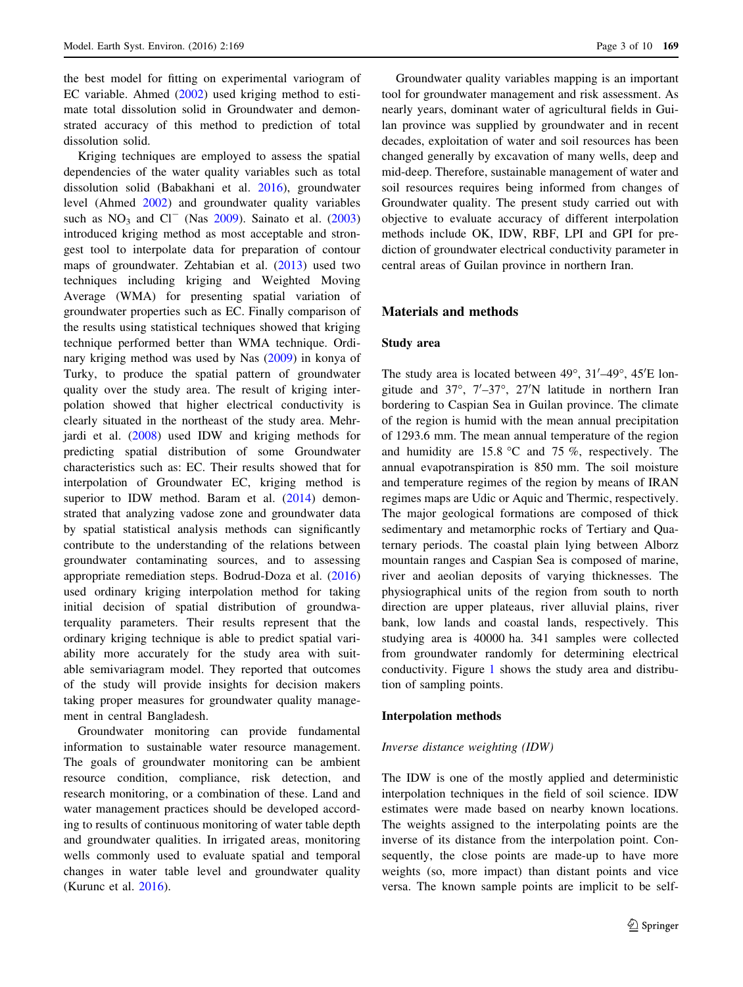the best model for fitting on experimental variogram of EC variable. Ahmed [\(2002](#page-8-0)) used kriging method to estimate total dissolution solid in Groundwater and demonstrated accuracy of this method to prediction of total dissolution solid.

Kriging techniques are employed to assess the spatial dependencies of the water quality variables such as total dissolution solid (Babakhani et al. [2016\)](#page-8-0), groundwater level (Ahmed [2002](#page-8-0)) and groundwater quality variables such as  $NO<sub>3</sub>$  and  $Cl<sup>-</sup>$  (Nas [2009](#page-8-0)). Sainato et al. ([2003\)](#page-9-0) introduced kriging method as most acceptable and strongest tool to interpolate data for preparation of contour maps of groundwater. Zehtabian et al. ([2013\)](#page-9-0) used two techniques including kriging and Weighted Moving Average (WMA) for presenting spatial variation of groundwater properties such as EC. Finally comparison of the results using statistical techniques showed that kriging technique performed better than WMA technique. Ordinary kriging method was used by Nas ([2009\)](#page-8-0) in konya of Turky, to produce the spatial pattern of groundwater quality over the study area. The result of kriging interpolation showed that higher electrical conductivity is clearly situated in the northeast of the study area. Mehrjardi et al. [\(2008](#page-8-0)) used IDW and kriging methods for predicting spatial distribution of some Groundwater characteristics such as: EC. Their results showed that for interpolation of Groundwater EC, kriging method is superior to IDW method. Baram et al. ([2014\)](#page-8-0) demonstrated that analyzing vadose zone and groundwater data by spatial statistical analysis methods can significantly contribute to the understanding of the relations between groundwater contaminating sources, and to assessing appropriate remediation steps. Bodrud-Doza et al. ([2016\)](#page-8-0) used ordinary kriging interpolation method for taking initial decision of spatial distribution of groundwaterquality parameters. Their results represent that the ordinary kriging technique is able to predict spatial variability more accurately for the study area with suitable semivariagram model. They reported that outcomes of the study will provide insights for decision makers taking proper measures for groundwater quality management in central Bangladesh.

Groundwater monitoring can provide fundamental information to sustainable water resource management. The goals of groundwater monitoring can be ambient resource condition, compliance, risk detection, and research monitoring, or a combination of these. Land and water management practices should be developed according to results of continuous monitoring of water table depth and groundwater qualities. In irrigated areas, monitoring wells commonly used to evaluate spatial and temporal changes in water table level and groundwater quality (Kurunc et al. [2016](#page-8-0)).

Groundwater quality variables mapping is an important tool for groundwater management and risk assessment. As nearly years, dominant water of agricultural fields in Guilan province was supplied by groundwater and in recent decades, exploitation of water and soil resources has been changed generally by excavation of many wells, deep and mid-deep. Therefore, sustainable management of water and soil resources requires being informed from changes of Groundwater quality. The present study carried out with objective to evaluate accuracy of different interpolation methods include OK, IDW, RBF, LPI and GPI for prediction of groundwater electrical conductivity parameter in central areas of Guilan province in northern Iran.

#### Materials and methods

## Study area

The study area is located between  $49^{\circ}$ ,  $31'$ - $49^{\circ}$ ,  $45'$ E longitude and  $37^\circ$ ,  $7'$ -37°,  $27'N$  latitude in northern Iran bordering to Caspian Sea in Guilan province. The climate of the region is humid with the mean annual precipitation of 1293.6 mm. The mean annual temperature of the region and humidity are  $15.8 \text{ °C}$  and  $75 \%$ , respectively. The annual evapotranspiration is 850 mm. The soil moisture and temperature regimes of the region by means of IRAN regimes maps are Udic or Aquic and Thermic, respectively. The major geological formations are composed of thick sedimentary and metamorphic rocks of Tertiary and Quaternary periods. The coastal plain lying between Alborz mountain ranges and Caspian Sea is composed of marine, river and aeolian deposits of varying thicknesses. The physiographical units of the region from south to north direction are upper plateaus, river alluvial plains, river bank, low lands and coastal lands, respectively. This studying area is 40000 ha. 341 samples were collected from groundwater randomly for determining electrical conductivity. Figure [1](#page-3-0) shows the study area and distribution of sampling points.

#### Interpolation methods

## Inverse distance weighting (IDW)

The IDW is one of the mostly applied and deterministic interpolation techniques in the field of soil science. IDW estimates were made based on nearby known locations. The weights assigned to the interpolating points are the inverse of its distance from the interpolation point. Consequently, the close points are made-up to have more weights (so, more impact) than distant points and vice versa. The known sample points are implicit to be self-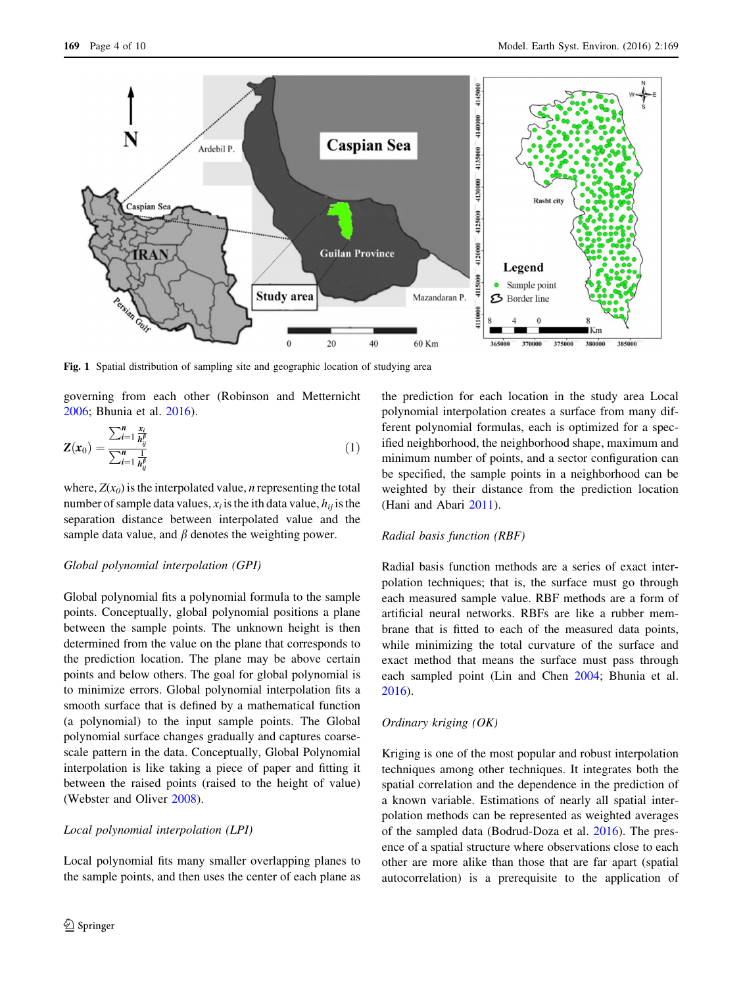<span id="page-3-0"></span>

Fig. 1 Spatial distribution of sampling site and geographic location of studying area

governing from each other (Robinson and Metternicht [2006;](#page-9-0) Bhunia et al. [2016](#page-8-0)).

$$
Z(x_0) = \frac{\sum_{i=1}^{n} \frac{x_i}{h_{ij}^{\beta}}}{\sum_{i=1}^{n} \frac{1}{h_{ij}^{\beta}}}
$$
(1)

where,  $Z(x_0)$  is the interpolated value, *n* representing the total number of sample data values,  $x_i$  is the ith data value,  $h_{ii}$  is the separation distance between interpolated value and the sample data value, and  $\beta$  denotes the weighting power.

#### Global polynomial interpolation (GPI)

Global polynomial fits a polynomial formula to the sample points. Conceptually, global polynomial positions a plane between the sample points. The unknown height is then determined from the value on the plane that corresponds to the prediction location. The plane may be above certain points and below others. The goal for global polynomial is to minimize errors. Global polynomial interpolation fits a smooth surface that is defined by a mathematical function (a polynomial) to the input sample points. The Global polynomial surface changes gradually and captures coarsescale pattern in the data. Conceptually, Global Polynomial interpolation is like taking a piece of paper and fitting it between the raised points (raised to the height of value) (Webster and Oliver [2008\)](#page-9-0).

## Local polynomial interpolation (LPI)

Local polynomial fits many smaller overlapping planes to the sample points, and then uses the center of each plane as the prediction for each location in the study area Local polynomial interpolation creates a surface from many different polynomial formulas, each is optimized for a specified neighborhood, the neighborhood shape, maximum and minimum number of points, and a sector configuration can be specified, the sample points in a neighborhood can be weighted by their distance from the prediction location (Hani and Abari [2011](#page-8-0)).

## Radial basis function (RBF)

Radial basis function methods are a series of exact interpolation techniques; that is, the surface must go through each measured sample value. RBF methods are a form of artificial neural networks. RBFs are like a rubber membrane that is fitted to each of the measured data points, while minimizing the total curvature of the surface and exact method that means the surface must pass through each sampled point (Lin and Chen [2004;](#page-8-0) Bhunia et al. [2016](#page-8-0)).

#### Ordinary kriging (OK)

Kriging is one of the most popular and robust interpolation techniques among other techniques. It integrates both the spatial correlation and the dependence in the prediction of a known variable. Estimations of nearly all spatial interpolation methods can be represented as weighted averages of the sampled data (Bodrud-Doza et al. [2016\)](#page-8-0). The presence of a spatial structure where observations close to each other are more alike than those that are far apart (spatial autocorrelation) is a prerequisite to the application of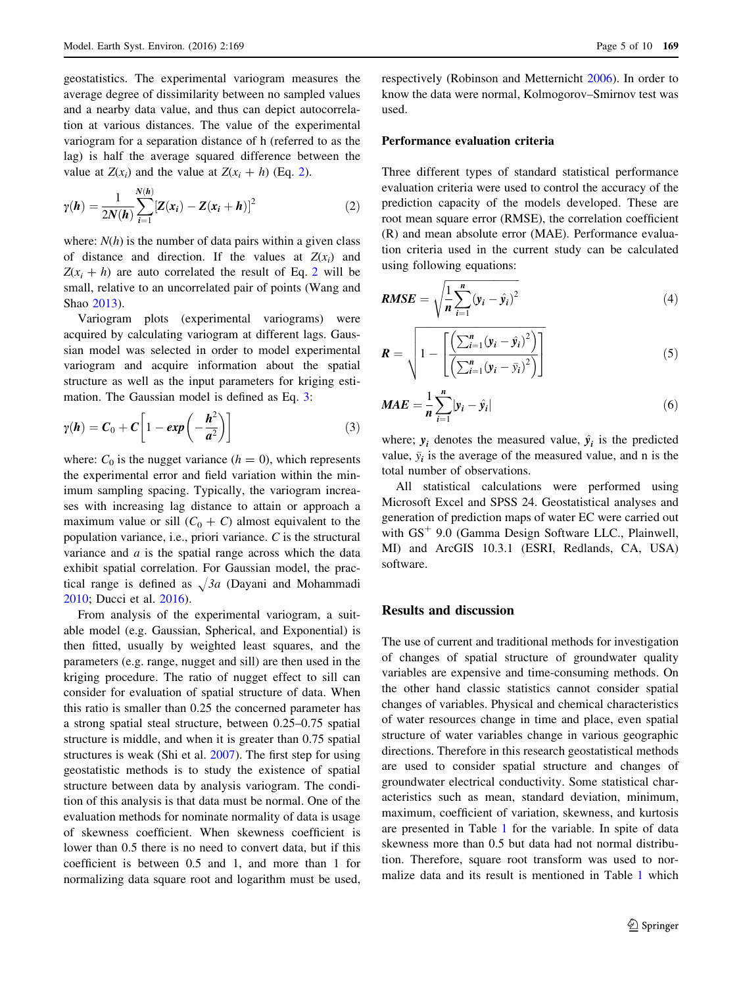geostatistics. The experimental variogram measures the average degree of dissimilarity between no sampled values and a nearby data value, and thus can depict autocorrelation at various distances. The value of the experimental variogram for a separation distance of h (referred to as the lag) is half the average squared difference between the value at  $Z(x_i)$  and the value at  $Z(x_i + h)$  (Eq. 2).

$$
\gamma(\boldsymbol{h}) = \frac{1}{2N(\boldsymbol{h})} \sum_{i=1}^{N(\boldsymbol{h})} \left[ Z(x_i) - Z(x_i + \boldsymbol{h}) \right]^2 \tag{2}
$$

where:  $N(h)$  is the number of data pairs within a given class of distance and direction. If the values at  $Z(x_i)$  and  $Z(x_i + h)$  are auto correlated the result of Eq. 2 will be small, relative to an uncorrelated pair of points (Wang and Shao [2013](#page-9-0)).

Variogram plots (experimental variograms) were acquired by calculating variogram at different lags. Gaussian model was selected in order to model experimental variogram and acquire information about the spatial structure as well as the input parameters for kriging estimation. The Gaussian model is defined as Eq. 3:

$$
\gamma(\boldsymbol{h}) = \boldsymbol{C}_0 + \boldsymbol{C} \bigg[ 1 - \exp\left(-\frac{\boldsymbol{h}^2}{\boldsymbol{a}^2}\right) \bigg] \tag{3}
$$

where:  $C_0$  is the nugget variance ( $h = 0$ ), which represents the experimental error and field variation within the minimum sampling spacing. Typically, the variogram increases with increasing lag distance to attain or approach a maximum value or sill  $(C_0 + C)$  almost equivalent to the population variance, i.e., priori variance. C is the structural variance and  $a$  is the spatial range across which the data exhibit spatial correlation. For Gaussian model, the practical range is defined as  $\sqrt{3}a$  (Dayani and Mohammadi [2010;](#page-8-0) Ducci et al. [2016](#page-8-0)).

From analysis of the experimental variogram, a suitable model (e.g. Gaussian, Spherical, and Exponential) is then fitted, usually by weighted least squares, and the parameters (e.g. range, nugget and sill) are then used in the kriging procedure. The ratio of nugget effect to sill can consider for evaluation of spatial structure of data. When this ratio is smaller than 0.25 the concerned parameter has a strong spatial steal structure, between 0.25–0.75 spatial structure is middle, and when it is greater than 0.75 spatial structures is weak (Shi et al. [2007\)](#page-9-0). The first step for using geostatistic methods is to study the existence of spatial structure between data by analysis variogram. The condition of this analysis is that data must be normal. One of the evaluation methods for nominate normality of data is usage of skewness coefficient. When skewness coefficient is lower than 0.5 there is no need to convert data, but if this coefficient is between 0.5 and 1, and more than 1 for normalizing data square root and logarithm must be used,

respectively (Robinson and Metternicht [2006](#page-9-0)). In order to know the data were normal, Kolmogorov–Smirnov test was used.

## Performance evaluation criteria

Three different types of standard statistical performance evaluation criteria were used to control the accuracy of the prediction capacity of the models developed. These are root mean square error (RMSE), the correlation coefficient (R) and mean absolute error (MAE). Performance evaluation criteria used in the current study can be calculated using following equations:

$$
RMSE = \sqrt{\frac{1}{n} \sum_{i=1}^{n} (y_i - \hat{y}_i)^2}
$$
 (4)

$$
\boldsymbol{R} = \sqrt{1 - \left[ \frac{\left( \sum_{i=1}^{n} (y_i - \hat{y}_i)^2 \right)}{\left( \sum_{i=1}^{n} (y_i - \bar{y}_i)^2 \right)} \right]}
$$
(5)

$$
MAE = \frac{1}{n} \sum_{i=1}^{n} |y_i - \hat{y}_i|
$$
\n(6)

where;  $y_i$  denotes the measured value,  $\hat{y}_i$  is the predicted value,  $\bar{y}_i$  is the average of the measured value, and n is the total number of observations.

All statistical calculations were performed using Microsoft Excel and SPSS 24. Geostatistical analyses and generation of prediction maps of water EC were carried out with  $GS<sup>+</sup> 9.0$  (Gamma Design Software LLC., Plainwell, MI) and ArcGIS 10.3.1 (ESRI, Redlands, CA, USA) software.

#### Results and discussion

The use of current and traditional methods for investigation of changes of spatial structure of groundwater quality variables are expensive and time-consuming methods. On the other hand classic statistics cannot consider spatial changes of variables. Physical and chemical characteristics of water resources change in time and place, even spatial structure of water variables change in various geographic directions. Therefore in this research geostatistical methods are used to consider spatial structure and changes of groundwater electrical conductivity. Some statistical characteristics such as mean, standard deviation, minimum, maximum, coefficient of variation, skewness, and kurtosis are presented in Table [1](#page-5-0) for the variable. In spite of data skewness more than 0.5 but data had not normal distribution. Therefore, square root transform was used to normalize data and its result is mentioned in Table [1](#page-5-0) which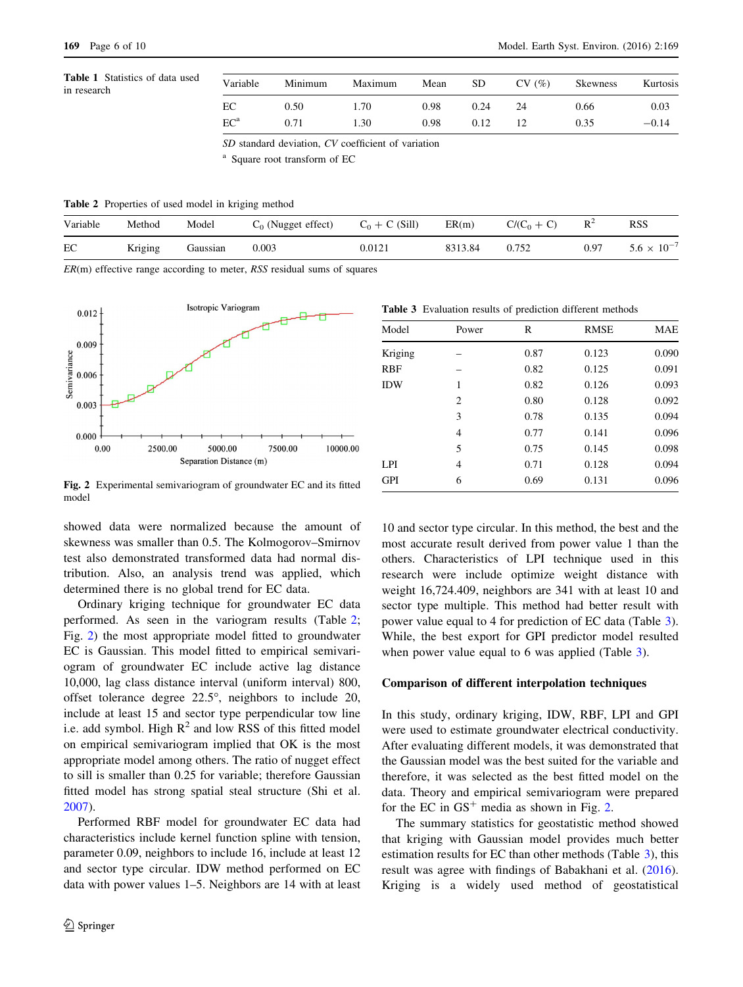<span id="page-5-0"></span>

| <b>Table 1</b> Statistics of data used<br>in research | Variable                 | Minimum | Maximum | Mean | SD   | CV(%) | <b>Skewness</b> | Kurtosis |
|-------------------------------------------------------|--------------------------|---------|---------|------|------|-------|-----------------|----------|
|                                                       | EС                       | 0.50    | 70      | 0.98 | 0.24 | 24    | 0.66            | 0.03     |
|                                                       | $\mathrm{EC}^\mathrm{a}$ |         | .30     | 0.98 | 0.12 |       | 0.35            | $-0.14$  |

SD standard deviation, CV coefficient of variation

Square root transform of EC

Table 2 Properties of used model in kriging method

| Variable | Method  | Model    | <sub>0</sub> (Nugget effect) | $+ C (Sill)$ | ER(m)   | $C/(C_0)$<br>$\mathbf{C}$ | $R^2$ | RSS                     |
|----------|---------|----------|------------------------------|--------------|---------|---------------------------|-------|-------------------------|
| EC       | Kriging | Gaussian | 0.003                        | 0.012        | 8313.84 | 0.752                     | 0.97  | $\times 10^{-4}$<br>5.6 |

 $ER(m)$  effective range according to meter, RSS residual sums of squares



Table 3 Evaluation results of prediction different methods

| Model      | Power | R    | <b>RMSE</b> | <b>MAE</b> |
|------------|-------|------|-------------|------------|
| Kriging    |       | 0.87 | 0.123       | 0.090      |
| <b>RBF</b> |       | 0.82 | 0.125       | 0.091      |
| <b>IDW</b> | 1     | 0.82 | 0.126       | 0.093      |
|            | 2     | 0.80 | 0.128       | 0.092      |
|            | 3     | 0.78 | 0.135       | 0.094      |
|            | 4     | 0.77 | 0.141       | 0.096      |
|            | 5     | 0.75 | 0.145       | 0.098      |
| LPI.       | 4     | 0.71 | 0.128       | 0.094      |
| <b>GPI</b> | 6     | 0.69 | 0.131       | 0.096      |

Fig. 2 Experimental semivariogram of groundwater EC and its fitted model

showed data were normalized because the amount of skewness was smaller than 0.5. The Kolmogorov–Smirnov test also demonstrated transformed data had normal distribution. Also, an analysis trend was applied, which determined there is no global trend for EC data.

Ordinary kriging technique for groundwater EC data performed. As seen in the variogram results (Table 2; Fig. 2) the most appropriate model fitted to groundwater EC is Gaussian. This model fitted to empirical semivariogram of groundwater EC include active lag distance 10,000, lag class distance interval (uniform interval) 800, offset tolerance degree  $22.5^{\circ}$ , neighbors to include 20, include at least 15 and sector type perpendicular tow line i.e. add symbol. High  $R^2$  and low RSS of this fitted model on empirical semivariogram implied that OK is the most appropriate model among others. The ratio of nugget effect to sill is smaller than 0.25 for variable; therefore Gaussian fitted model has strong spatial steal structure (Shi et al. [2007\)](#page-9-0).

Performed RBF model for groundwater EC data had characteristics include kernel function spline with tension, parameter 0.09, neighbors to include 16, include at least 12 and sector type circular. IDW method performed on EC data with power values 1–5. Neighbors are 14 with at least

10 and sector type circular. In this method, the best and the most accurate result derived from power value 1 than the others. Characteristics of LPI technique used in this research were include optimize weight distance with weight 16,724.409, neighbors are 341 with at least 10 and sector type multiple. This method had better result with power value equal to 4 for prediction of EC data (Table 3). While, the best export for GPI predictor model resulted when power value equal to 6 was applied (Table 3).

#### Comparison of different interpolation techniques

In this study, ordinary kriging, IDW, RBF, LPI and GPI were used to estimate groundwater electrical conductivity. After evaluating different models, it was demonstrated that the Gaussian model was the best suited for the variable and therefore, it was selected as the best fitted model on the data. Theory and empirical semivariogram were prepared for the EC in  $GS<sup>+</sup>$  media as shown in Fig. 2.

The summary statistics for geostatistic method showed that kriging with Gaussian model provides much better estimation results for EC than other methods (Table 3), this result was agree with findings of Babakhani et al. [\(2016](#page-8-0)). Kriging is a widely used method of geostatistical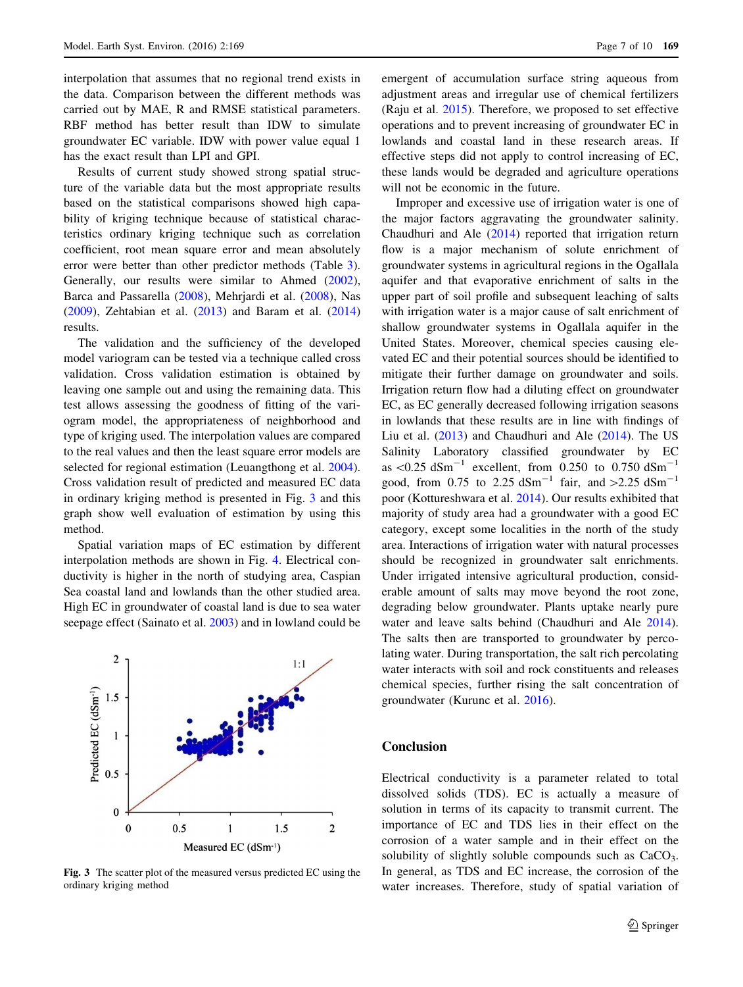interpolation that assumes that no regional trend exists in the data. Comparison between the different methods was carried out by MAE, R and RMSE statistical parameters. RBF method has better result than IDW to simulate groundwater EC variable. IDW with power value equal 1 has the exact result than LPI and GPI.

Results of current study showed strong spatial structure of the variable data but the most appropriate results based on the statistical comparisons showed high capability of kriging technique because of statistical characteristics ordinary kriging technique such as correlation coefficient, root mean square error and mean absolutely error were better than other predictor methods (Table [3](#page-5-0)). Generally, our results were similar to Ahmed [\(2002](#page-8-0)), Barca and Passarella [\(2008](#page-8-0)), Mehrjardi et al. [\(2008](#page-8-0)), Nas [\(2009](#page-8-0)), Zehtabian et al. ([2013\)](#page-9-0) and Baram et al. ([2014\)](#page-8-0) results.

The validation and the sufficiency of the developed model variogram can be tested via a technique called cross validation. Cross validation estimation is obtained by leaving one sample out and using the remaining data. This test allows assessing the goodness of fitting of the variogram model, the appropriateness of neighborhood and type of kriging used. The interpolation values are compared to the real values and then the least square error models are selected for regional estimation (Leuangthong et al. [2004](#page-8-0)). Cross validation result of predicted and measured EC data in ordinary kriging method is presented in Fig. 3 and this graph show well evaluation of estimation by using this method.

Spatial variation maps of EC estimation by different interpolation methods are shown in Fig. [4](#page-7-0). Electrical conductivity is higher in the north of studying area, Caspian Sea coastal land and lowlands than the other studied area. High EC in groundwater of coastal land is due to sea water seepage effect (Sainato et al. [2003\)](#page-9-0) and in lowland could be



Fig. 3 The scatter plot of the measured versus predicted EC using the ordinary kriging method

emergent of accumulation surface string aqueous from adjustment areas and irregular use of chemical fertilizers (Raju et al. [2015\)](#page-8-0). Therefore, we proposed to set effective operations and to prevent increasing of groundwater EC in lowlands and coastal land in these research areas. If effective steps did not apply to control increasing of EC, these lands would be degraded and agriculture operations will not be economic in the future.

Improper and excessive use of irrigation water is one of the major factors aggravating the groundwater salinity. Chaudhuri and Ale ([2014\)](#page-8-0) reported that irrigation return flow is a major mechanism of solute enrichment of groundwater systems in agricultural regions in the Ogallala aquifer and that evaporative enrichment of salts in the upper part of soil profile and subsequent leaching of salts with irrigation water is a major cause of salt enrichment of shallow groundwater systems in Ogallala aquifer in the United States. Moreover, chemical species causing elevated EC and their potential sources should be identified to mitigate their further damage on groundwater and soils. Irrigation return flow had a diluting effect on groundwater EC, as EC generally decreased following irrigation seasons in lowlands that these results are in line with findings of Liu et al. ([2013\)](#page-8-0) and Chaudhuri and Ale ([2014\)](#page-8-0). The US Salinity Laboratory classified groundwater by EC as  $\leq 0.25$  dSm<sup>-1</sup> excellent, from 0.250 to 0.750 dSm<sup>-1</sup> good, from 0.75 to 2.25 dSm<sup>-1</sup> fair, and  $>2.25$  dSm<sup>-1</sup> poor (Kottureshwara et al. [2014](#page-8-0)). Our results exhibited that majority of study area had a groundwater with a good EC category, except some localities in the north of the study area. Interactions of irrigation water with natural processes should be recognized in groundwater salt enrichments. Under irrigated intensive agricultural production, considerable amount of salts may move beyond the root zone, degrading below groundwater. Plants uptake nearly pure water and leave salts behind (Chaudhuri and Ale [2014](#page-8-0)). The salts then are transported to groundwater by percolating water. During transportation, the salt rich percolating water interacts with soil and rock constituents and releases chemical species, further rising the salt concentration of groundwater (Kurunc et al. [2016](#page-8-0)).

## Conclusion

Electrical conductivity is a parameter related to total dissolved solids (TDS). EC is actually a measure of solution in terms of its capacity to transmit current. The importance of EC and TDS lies in their effect on the corrosion of a water sample and in their effect on the solubility of slightly soluble compounds such as  $CaCO<sub>3</sub>$ . In general, as TDS and EC increase, the corrosion of the water increases. Therefore, study of spatial variation of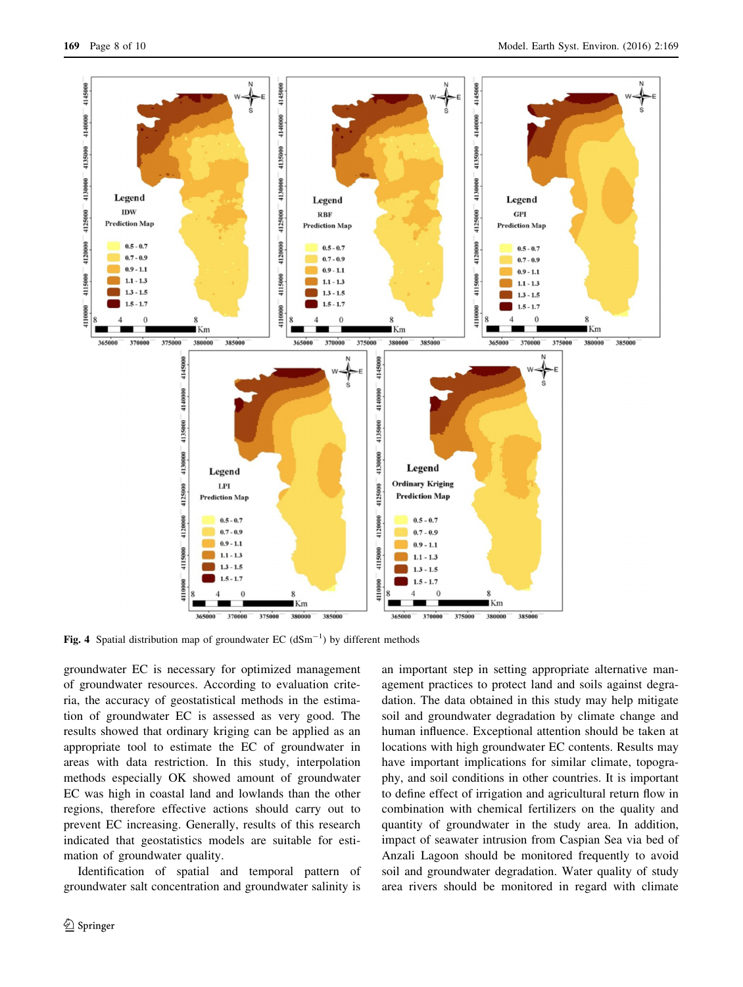<span id="page-7-0"></span>

Fig. 4 Spatial distribution map of groundwater EC  $(dSm^{-1})$  by different methods

groundwater EC is necessary for optimized management of groundwater resources. According to evaluation criteria, the accuracy of geostatistical methods in the estimation of groundwater EC is assessed as very good. The results showed that ordinary kriging can be applied as an appropriate tool to estimate the EC of groundwater in areas with data restriction. In this study, interpolation methods especially OK showed amount of groundwater EC was high in coastal land and lowlands than the other regions, therefore effective actions should carry out to prevent EC increasing. Generally, results of this research indicated that geostatistics models are suitable for estimation of groundwater quality.

Identification of spatial and temporal pattern of groundwater salt concentration and groundwater salinity is an important step in setting appropriate alternative management practices to protect land and soils against degradation. The data obtained in this study may help mitigate soil and groundwater degradation by climate change and human influence. Exceptional attention should be taken at locations with high groundwater EC contents. Results may have important implications for similar climate, topography, and soil conditions in other countries. It is important to define effect of irrigation and agricultural return flow in combination with chemical fertilizers on the quality and quantity of groundwater in the study area. In addition, impact of seawater intrusion from Caspian Sea via bed of Anzali Lagoon should be monitored frequently to avoid soil and groundwater degradation. Water quality of study area rivers should be monitored in regard with climate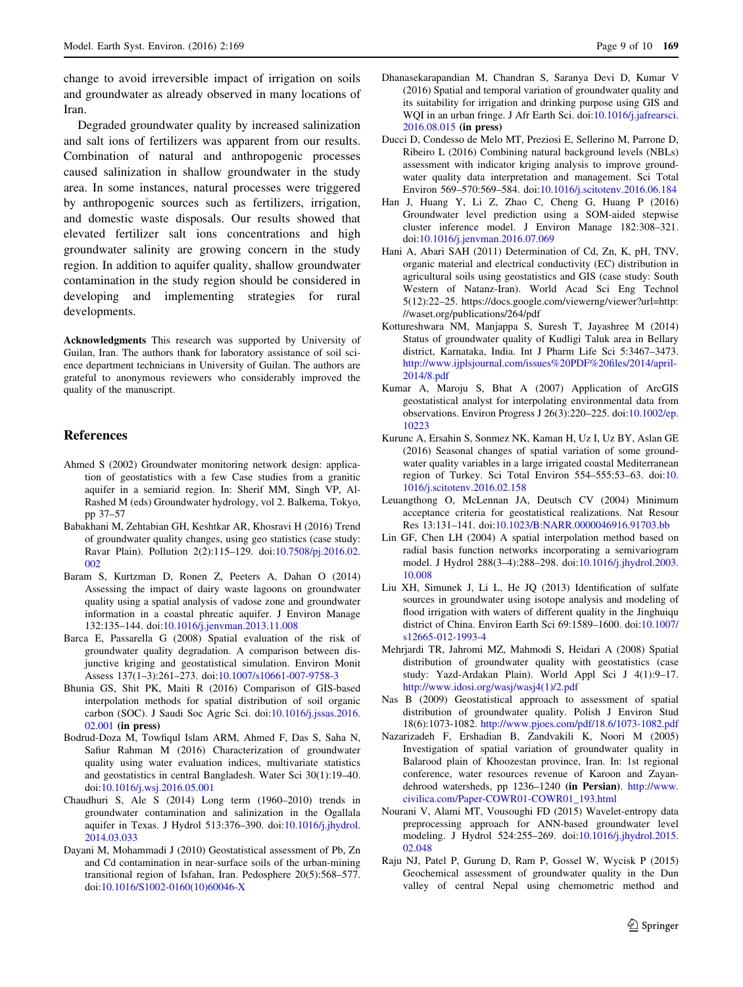<span id="page-8-0"></span>change to avoid irreversible impact of irrigation on soils and groundwater as already observed in many locations of Iran.

Degraded groundwater quality by increased salinization and salt ions of fertilizers was apparent from our results. Combination of natural and anthropogenic processes caused salinization in shallow groundwater in the study area. In some instances, natural processes were triggered by anthropogenic sources such as fertilizers, irrigation, and domestic waste disposals. Our results showed that elevated fertilizer salt ions concentrations and high groundwater salinity are growing concern in the study region. In addition to aquifer quality, shallow groundwater contamination in the study region should be considered in developing and implementing strategies for rural developments.

Acknowledgments This research was supported by University of Guilan, Iran. The authors thank for laboratory assistance of soil science department technicians in University of Guilan. The authors are grateful to anonymous reviewers who considerably improved the quality of the manuscript.

## References

- Ahmed S (2002) Groundwater monitoring network design: application of geostatistics with a few Case studies from a granitic aquifer in a semiarid region. In: Sherif MM, Singh VP, Al-Rashed M (eds) Groundwater hydrology, vol 2. Balkema, Tokyo, pp 37–57
- Babakhani M, Zehtabian GH, Keshtkar AR, Khosravi H (2016) Trend of groundwater quality changes, using geo statistics (case study: Ravar Plain). Pollution 2(2):115–129. doi:[10.7508/pj.2016.02.](http://dx.doi.org/10.7508/pj.2016.02.002) [002](http://dx.doi.org/10.7508/pj.2016.02.002)
- Baram S, Kurtzman D, Ronen Z, Peeters A, Dahan O (2014) Assessing the impact of dairy waste lagoons on groundwater quality using a spatial analysis of vadose zone and groundwater information in a coastal phreatic aquifer. J Environ Manage 132:135–144. doi:[10.1016/j.jenvman.2013.11.008](http://dx.doi.org/10.1016/j.jenvman.2013.11.008)
- Barca E, Passarella G (2008) Spatial evaluation of the risk of groundwater quality degradation. A comparison between disjunctive kriging and geostatistical simulation. Environ Monit Assess 137(1–3):261–273. doi[:10.1007/s10661-007-9758-3](http://dx.doi.org/10.1007/s10661-007-9758-3)
- Bhunia GS, Shit PK, Maiti R (2016) Comparison of GIS-based interpolation methods for spatial distribution of soil organic carbon (SOC). J Saudi Soc Agric Sci. doi:[10.1016/j.jssas.2016.](http://dx.doi.org/10.1016/j.jssas.2016.02.001) [02.001](http://dx.doi.org/10.1016/j.jssas.2016.02.001) (in press)
- Bodrud-Doza M, Towfiqul Islam ARM, Ahmed F, Das S, Saha N, Safiur Rahman M (2016) Characterization of groundwater quality using water evaluation indices, multivariate statistics and geostatistics in central Bangladesh. Water Sci 30(1):19–40. doi[:10.1016/j.wsj.2016.05.001](http://dx.doi.org/10.1016/j.wsj.2016.05.001)
- Chaudhuri S, Ale S (2014) Long term (1960–2010) trends in groundwater contamination and salinization in the Ogallala aquifer in Texas. J Hydrol 513:376–390. doi[:10.1016/j.jhydrol.](http://dx.doi.org/10.1016/j.jhydrol.2014.03.033) [2014.03.033](http://dx.doi.org/10.1016/j.jhydrol.2014.03.033)
- Dayani M, Mohammadi J (2010) Geostatistical assessment of Pb, Zn and Cd contamination in near-surface soils of the urban-mining transitional region of Isfahan, Iran. Pedosphere 20(5):568–577. doi[:10.1016/S1002-0160\(10\)60046-X](http://dx.doi.org/10.1016/S1002-0160(10)60046-X)
- Dhanasekarapandian M, Chandran S, Saranya Devi D, Kumar V (2016) Spatial and temporal variation of groundwater quality and its suitability for irrigation and drinking purpose using GIS and WQI in an urban fringe. J Afr Earth Sci. doi[:10.1016/j.jafrearsci.](http://dx.doi.org/10.1016/j.jafrearsci.2016.08.015) [2016.08.015](http://dx.doi.org/10.1016/j.jafrearsci.2016.08.015) (in press)
- Ducci D, Condesso de Melo MT, Preziosi E, Sellerino M, Parrone D, Ribeiro L (2016) Combining natural background levels (NBLs) assessment with indicator kriging analysis to improve groundwater quality data interpretation and management. Sci Total Environ 569–570:569–584. doi[:10.1016/j.scitotenv.2016.06.184](http://dx.doi.org/10.1016/j.scitotenv.2016.06.184)
- Han J, Huang Y, Li Z, Zhao C, Cheng G, Huang P (2016) Groundwater level prediction using a SOM-aided stepwise cluster inference model. J Environ Manage 182:308–321. doi[:10.1016/j.jenvman.2016.07.069](http://dx.doi.org/10.1016/j.jenvman.2016.07.069)
- Hani A, Abari SAH (2011) Determination of Cd, Zn, K, pH, TNV, organic material and electrical conductivity (EC) distribution in agricultural soils using geostatistics and GIS (case study: South Western of Natanz-Iran). World Acad Sci Eng Technol 5(12):22–25. https://docs.google.com/viewerng/viewer?url=http: //waset.org/publications/264/pdf
- Kottureshwara NM, Manjappa S, Suresh T, Jayashree M (2014) Status of groundwater quality of Kudligi Taluk area in Bellary district, Karnataka, India. Int J Pharm Life Sci 5:3467–3473. [http://www.ijplsjournal.com/issues%20PDF%20files/2014/april-](http://www.ijplsjournal.com/issues%20PDF%20files/2014/april-2014/8.pdf)[2014/8.pdf](http://www.ijplsjournal.com/issues%20PDF%20files/2014/april-2014/8.pdf)
- Kumar A, Maroju S, Bhat A (2007) Application of ArcGIS geostatistical analyst for interpolating environmental data from observations. Environ Progress J 26(3):220–225. doi[:10.1002/ep.](http://dx.doi.org/10.1002/ep.10223) [10223](http://dx.doi.org/10.1002/ep.10223)
- Kurunc A, Ersahin S, Sonmez NK, Kaman H, Uz I, Uz BY, Aslan GE (2016) Seasonal changes of spatial variation of some groundwater quality variables in a large irrigated coastal Mediterranean region of Turkey. Sci Total Environ 554–555:53–63. doi:[10.](http://dx.doi.org/10.1016/j.scitotenv.2016.02.158) [1016/j.scitotenv.2016.02.158](http://dx.doi.org/10.1016/j.scitotenv.2016.02.158)
- Leuangthong O, McLennan JA, Deutsch CV (2004) Minimum acceptance criteria for geostatistical realizations. Nat Resour Res 13:131–141. doi[:10.1023/B:NARR.0000046916.91703.bb](http://dx.doi.org/10.1023/B:NARR.0000046916.91703.bb)
- Lin GF, Chen LH (2004) A spatial interpolation method based on radial basis function networks incorporating a semivariogram model. J Hydrol 288(3–4):288–298. doi[:10.1016/j.jhydrol.2003.](http://dx.doi.org/10.1016/j.jhydrol.2003.10.008) [10.008](http://dx.doi.org/10.1016/j.jhydrol.2003.10.008)
- Liu XH, Simunek J, Li L, He JQ (2013) Identification of sulfate sources in groundwater using isotope analysis and modeling of flood irrigation with waters of different quality in the Jinghuiqu district of China. Environ Earth Sci 69:1589–1600. doi[:10.1007/](http://dx.doi.org/10.1007/s12665-012-1993-4) [s12665-012-1993-4](http://dx.doi.org/10.1007/s12665-012-1993-4)
- Mehrjardi TR, Jahromi MZ, Mahmodi S, Heidari A (2008) Spatial distribution of groundwater quality with geostatistics (case study: Yazd-Ardakan Plain). World Appl Sci J 4(1):9–17. [http://www.idosi.org/wasj/wasj4\(1\)/2.pdf](http://www.idosi.org/wasj/wasj4(1)/2.pdf)
- Nas B (2009) Geostatistical approach to assessment of spatial distribution of groundwater quality. Polish J Environ Stud 18(6):1073-1082. <http://www.pjoes.com/pdf/18.6/1073-1082.pdf>
- Nazarizadeh F, Ershadian B, Zandvakili K, Noori M (2005) Investigation of spatial variation of groundwater quality in Balarood plain of Khoozestan province, Iran. In: 1st regional conference, water resources revenue of Karoon and Zayandehrood watersheds, pp 1236–1240 (in Persian). [http://www.](http://www.civilica.com/Paper-COWR01-COWR01_193.html) [civilica.com/Paper-COWR01-COWR01\\_193.html](http://www.civilica.com/Paper-COWR01-COWR01_193.html)
- Nourani V, Alami MT, Vousoughi FD (2015) Wavelet-entropy data preprocessing approach for ANN-based groundwater level modeling. J Hydrol 524:255–269. doi[:10.1016/j.jhydrol.2015.](http://dx.doi.org/10.1016/j.jhydrol.2015.02.048) [02.048](http://dx.doi.org/10.1016/j.jhydrol.2015.02.048)
- Raju NJ, Patel P, Gurung D, Ram P, Gossel W, Wycisk P (2015) Geochemical assessment of groundwater quality in the Dun valley of central Nepal using chemometric method and